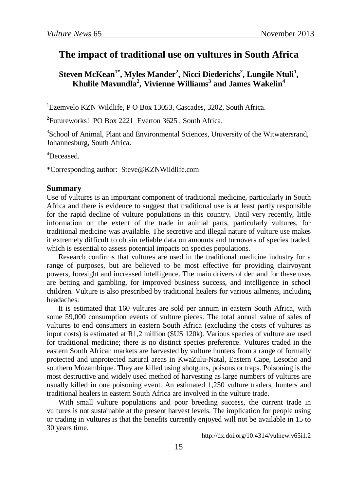# **The impact of traditional use on vultures in South Africa**

# $\bf$  Steven McKean $^1$ \*, Myles Mander $^2$ , Nicci Diederichs $^2$ , Lungile Ntuli $^1$ ,  $\mathbf{K}$ hulile Mavundla $^2$ , Vivienne Williams $^3$  and James Wakelin $^4$

1 Ezemvelo KZN Wildlife, P O Box 13053, Cascades, 3202, South Africa.

**2** Futureworks! PO Box 2221 Everton 3625 , South Africa.

<sup>3</sup>School of Animal, Plant and Environmental Sciences, University of the Witwatersrand, Johannesburg, South Africa.

4 Deceased.

\*Corresponding author: Steve@KZNWildlife.com

#### **Summary**

Use of vultures is an important component of traditional medicine, particularly in South Africa and there is evidence to suggest that traditional use is at least partly responsible for the rapid decline of vulture populations in this country. Until very recently, little information on the extent of the trade in animal parts, particularly vultures, for traditional medicine was available. The secretive and illegal nature of vulture use makes it extremely difficult to obtain reliable data on amounts and turnovers of species traded, which is essential to assess potential impacts on species populations.

Research confirms that vultures are used in the traditional medicine industry for a range of purposes, but are believed to be most effective for providing clairvoyant powers, foresight and increased intelligence. The main drivers of demand for these uses are betting and gambling, for improved business success, and intelligence in school children. Vulture is also prescribed by traditional healers for various ailments, including headaches.

It is estimated that 160 vultures are sold per annum in eastern South Africa, with some 59,000 consumption events of vulture pieces. The total annual value of sales of vultures to end consumers in eastern South Africa (excluding the costs of vultures as input costs) is estimated at R1,2 million (\$US 120k). Various species of vulture are used for traditional medicine; there is no distinct species preference. Vultures traded in the eastern South African markets are harvested by vulture hunters from a range of formally protected and unprotected natural areas in KwaZulu-Natal, Eastern Cape, Lesotho and southern Mozambique. They are killed using shotguns, poisons or traps. Poisoning is the most destructive and widely used method of harvesting as large numbers of vultures are usually killed in one poisoning event. An estimated 1,250 vulture traders, hunters and traditional healers in eastern South Africa are involved in the vulture trade.

With small vulture populations and poor breeding success, the current trade in vultures is not sustainable at the present harvest levels. The implication for people using or trading in vultures is that the benefits currently enjoyed will not be available in 15 to 30 years time.

http://dx.doi.org/10.4314/vulnew.v65i1.2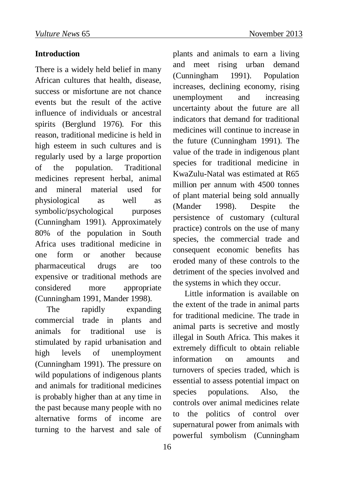### **Introduction**

There is a widely held belief in many African cultures that health, disease, success or misfortune are not chance events but the result of the active influence of individuals or ancestral spirits (Berglund 1976). For this reason, traditional medicine is held in high esteem in such cultures and is regularly used by a large proportion of the population. Traditional medicines represent herbal, animal and mineral material used for physiological as well as symbolic/psychological purposes (Cunningham 1991). Approximately 80% of the population in South Africa uses traditional medicine in one form or another because pharmaceutical drugs are too expensive or traditional methods are considered more appropriate (Cunningham 1991, Mander 1998).

The rapidly expanding commercial trade in plants and animals for traditional use is stimulated by rapid urbanisation and high levels of unemployment (Cunningham 1991). The pressure on wild populations of indigenous plants and animals for traditional medicines is probably higher than at any time in the past because many people with no alternative forms of income are turning to the harvest and sale of plants and animals to earn a living and meet rising urban demand (Cunningham 1991). Population increases, declining economy, rising unemployment and increasing uncertainty about the future are all indicators that demand for traditional medicines will continue to increase in the future (Cunningham 1991). The value of the trade in indigenous plant species for traditional medicine in KwaZulu-Natal was estimated at R65 million per annum with 4500 tonnes of plant material being sold annually (Mander 1998). Despite the persistence of customary (cultural practice) controls on the use of many species, the commercial trade and consequent economic benefits has eroded many of these controls to the detriment of the species involved and the systems in which they occur.

Little information is available on the extent of the trade in animal parts for traditional medicine. The trade in animal parts is secretive and mostly illegal in South Africa. This makes it extremely difficult to obtain reliable information on amounts and turnovers of species traded, which is essential to assess potential impact on species populations. Also, the controls over animal medicines relate to the politics of control over supernatural power from animals with powerful symbolism (Cunningham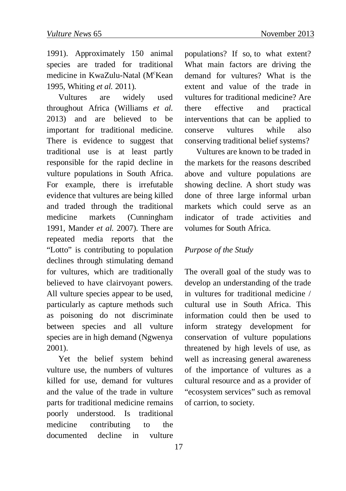1991). Approximately 150 animal species are traded for traditional medicine in KwaZulu-Natal (M<sup>c</sup>Kean 1995, Whiting *et al.* 2011).

Vultures are widely used throughout Africa (Williams *et al.* 2013) and are believed to be important for traditional medicine. There is evidence to suggest that traditional use is at least partly responsible for the rapid decline in vulture populations in South Africa. For example, there is irrefutable evidence that vultures are being killed and traded through the traditional medicine markets (Cunningham 1991, Mander *et al.* 2007). There are repeated media reports that the "Lotto" is contributing to population declines through stimulating demand for vultures, which are traditionally believed to have clairvoyant powers. All vulture species appear to be used, particularly as capture methods such as poisoning do not discriminate between species and all vulture species are in high demand (Ngwenya 2001).

Yet the belief system behind vulture use, the numbers of vultures killed for use, demand for vultures and the value of the trade in vulture parts for traditional medicine remains poorly understood. Is traditional medicine contributing to the documented decline in vulture

populations? If so, to what extent? What main factors are driving the demand for vultures? What is the extent and value of the trade in vultures for traditional medicine? Are there effective and practical interventions that can be applied to conserve vultures while also conserving traditional belief systems?

Vultures are known to be traded in the markets for the reasons described above and vulture populations are showing decline. A short study was done of three large informal urban markets which could serve as an indicator of trade activities and volumes for South Africa.

### *Purpose of the Study*

The overall goal of the study was to develop an understanding of the trade in vultures for traditional medicine / cultural use in South Africa. This information could then be used to inform strategy development for conservation of vulture populations threatened by high levels of use, as well as increasing general awareness of the importance of vultures as a cultural resource and as a provider of "ecosystem services" such as removal of carrion, to society.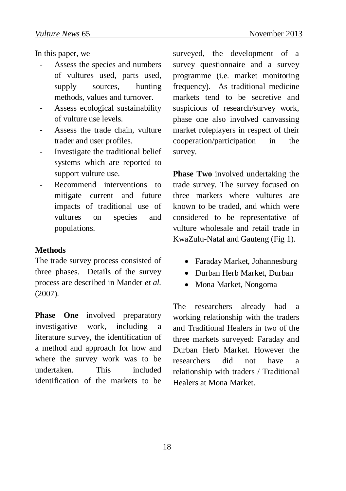In this paper, we

- Assess the species and numbers of vultures used, parts used, supply sources, hunting methods, values and turnover.
- Assess ecological sustainability of vulture use levels.
- Assess the trade chain, vulture trader and user profiles.
- Investigate the traditional belief systems which are reported to support vulture use.
- Recommend interventions to mitigate current and future impacts of traditional use of vultures on species and populations.

### **Methods**

The trade survey process consisted of three phases. Details of the survey process are described in Mander *et al.* (2007).

**Phase One** involved preparatory investigative work, including a literature survey, the identification of a method and approach for how and where the survey work was to be undertaken. This included identification of the markets to be surveyed, the development of a survey questionnaire and a survey programme (i.e. market monitoring frequency). As traditional medicine markets tend to be secretive and suspicious of research/survey work, phase one also involved canvassing market roleplayers in respect of their cooperation/participation in the survey.

**Phase Two** involved undertaking the trade survey. The survey focused on three markets where vultures are known to be traded, and which were considered to be representative of vulture wholesale and retail trade in KwaZulu-Natal and Gauteng (Fig 1).

- Faraday Market, Johannesburg
- Durban Herb Market, Durban
- Mona Market, Nongoma

The researchers already had a working relationship with the traders and Traditional Healers in two of the three markets surveyed: Faraday and Durban Herb Market. However the researchers did not have a relationship with traders / Traditional Healers at Mona Market.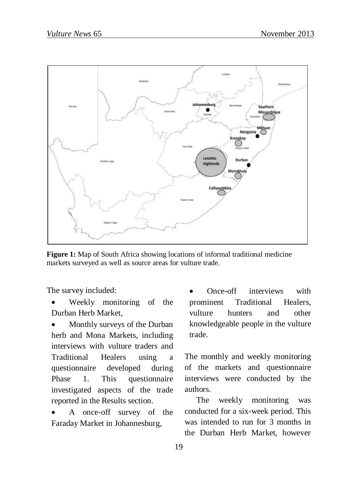

**Figure 1:** Map of South Africa showing locations of informal traditional medicine markets surveyed as well as source areas for vulture trade.

The survey included:

Weekly monitoring of the Durban Herb Market,

• Monthly surveys of the Durban herb and Mona Markets, including interviews with vulture traders and Traditional Healers using a questionnaire developed during Phase 1. This questionnaire investigated aspects of the trade reported in the Results section.

A once-off survey of the Faraday Market in Johannesburg,

• Once-off interviews with prominent Traditional Healers, vulture hunters and other knowledgeable people in the vulture trade.

The monthly and weekly monitoring of the markets and questionnaire interviews were conducted by the authors.

The weekly monitoring was conducted for a six-week period. This was intended to run for 3 months in the Durban Herb Market, however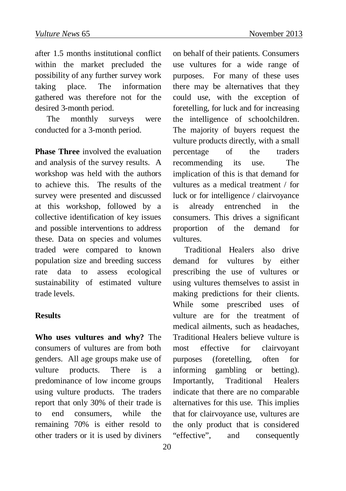after 1.5 months institutional conflict within the market precluded the possibility of any further survey work taking place. The information gathered was therefore not for the desired 3-month period.

The monthly surveys were conducted for a 3-month period.

**Phase Three** involved the evaluation and analysis of the survey results. A workshop was held with the authors to achieve this. The results of the survey were presented and discussed at this workshop, followed by a collective identification of key issues and possible interventions to address these. Data on species and volumes traded were compared to known population size and breeding success rate data to assess ecological sustainability of estimated vulture trade levels.

## **Results**

**Who uses vultures and why?** The consumers of vultures are from both genders. All age groups make use of vulture products. There is a predominance of low income groups using vulture products. The traders report that only 30% of their trade is to end consumers, while the remaining 70% is either resold to other traders or it is used by diviners

medical ailments, such as headaches, Traditional Healers believe vulture is most effective for clairvoyant purposes (foretelling, often for informing gambling or betting).

Importantly, Traditional Healers indicate that there are no comparable alternatives for this use. This implies that for clairvoyance use, vultures are the only product that is considered

"effective", and consequently

use vultures for a wide range of purposes. For many of these uses there may be alternatives that they could use, with the exception of foretelling, for luck and for increasing the intelligence of schoolchildren. The majority of buyers request the vulture products directly, with a small percentage of the traders recommending its use. The implication of this is that demand for vultures as a medical treatment / for luck or for intelligence / clairvoyance is already entrenched in the consumers. This drives a significant proportion of the demand for vultures.

Traditional Healers also drive demand for vultures by either prescribing the use of vultures or using vultures themselves to assist in making predictions for their clients. While some prescribed uses of vulture are for the treatment of

on behalf of their patients. Consumers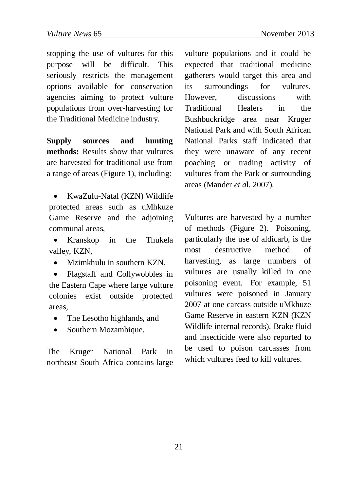stopping the use of vultures for this purpose will be difficult. This seriously restricts the management options available for conservation agencies aiming to protect vulture populations from over-harvesting for the Traditional Medicine industry.

**Supply sources and hunting methods:** Results show that vultures are harvested for traditional use from a range of areas (Figure 1), including:

• KwaZulu-Natal (KZN) Wildlife protected areas such as uMhkuze Game Reserve and the adjoining communal areas,

• Kranskop in the Thukela valley, KZN,

• Mzimkhulu in southern KZN,

• Flagstaff and Collywobbles in the Eastern Cape where large vulture colonies exist outside protected areas,

- The Lesotho highlands, and
- Southern Mozambique.

The Kruger National Park in northeast South Africa contains large vulture populations and it could be expected that traditional medicine gatherers would target this area and its surroundings for vultures. However, discussions with Traditional Healers in the Bushbuckridge area near Kruger National Park and with South African National Parks staff indicated that they were unaware of any recent poaching or trading activity of vultures from the Park or surrounding areas (Mander *et a*l. 2007).

Vultures are harvested by a number of methods (Figure 2). Poisoning, particularly the use of aldicarb, is the most destructive method of harvesting, as large numbers of vultures are usually killed in one poisoning event. For example, 51 vultures were poisoned in January 2007 at one carcass outside uMkhuze Game Reserve in eastern KZN (KZN Wildlife internal records). Brake fluid and insecticide were also reported to be used to poison carcasses from which vultures feed to kill vultures.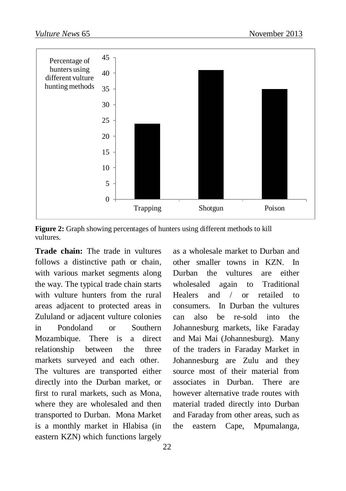

**Figure 2:** Graph showing percentages of hunters using different methods to kill vultures.

**Trade chain:** The trade in vultures follows a distinctive path or chain, with various market segments along the way. The typical trade chain starts with vulture hunters from the rural areas adjacent to protected areas in Zululand or adjacent vulture colonies in Pondoland or Southern Mozambique. There is a direct relationship between the three markets surveyed and each other. The vultures are transported either directly into the Durban market, or first to rural markets, such as Mona, where they are wholesaled and then transported to Durban. Mona Market is a monthly market in Hlabisa (in eastern KZN) which functions largely as a wholesale market to Durban and other smaller towns in KZN. In Durban the vultures are either wholesaled again to Traditional Healers and / or retailed to consumers. In Durban the vultures can also be re-sold into the Johannesburg markets, like Faraday and Mai Mai (Johannesburg). Many of the traders in Faraday Market in Johannesburg are Zulu and they source most of their material from associates in Durban. There are however alternative trade routes with material traded directly into Durban and Faraday from other areas, such as the eastern Cape, Mpumalanga,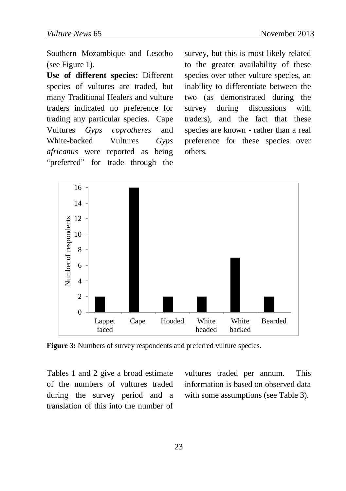Southern Mozambique and Lesotho (see Figure 1).

**Use of different species:** Different species of vultures are traded, but many Traditional Healers and vulture traders indicated no preference for trading any particular species. Cape Vultures *Gyps coprotheres* and White-backed Vultures *Gyps africanus* were reported as being "preferred" for trade through the

survey, but this is most likely related to the greater availability of these species over other vulture species, an inability to differentiate between the two (as demonstrated during the survey during discussions with traders), and the fact that these species are known - rather than a real preference for these species over others.



**Figure 3:** Numbers of survey respondents and preferred vulture species.

Tables 1 and 2 give a broad estimate of the numbers of vultures traded during the survey period and a translation of this into the number of

vultures traded per annum. This information is based on observed data with some assumptions (see Table 3).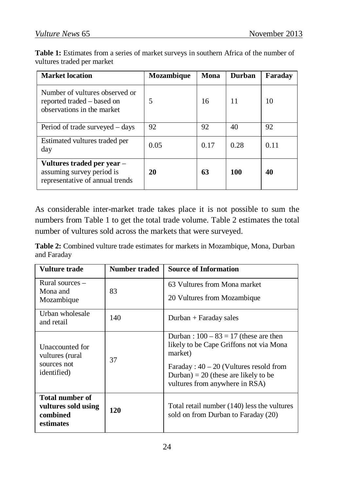| <b>Table 1:</b> Estimates from a series of market surveys in southern Africa of the number of |  |
|-----------------------------------------------------------------------------------------------|--|
| vultures traded per market                                                                    |  |

| <b>Market location</b>                                                                     | Mozambique | Mona | Durban | Faradav |
|--------------------------------------------------------------------------------------------|------------|------|--------|---------|
| Number of vultures observed or<br>reported traded – based on<br>observations in the market | 5          | 16   | 11     | 10      |
| Period of trade surveyed – days                                                            | 92         | 92   | 40     | 92      |
| Estimated vultures traded per<br>day                                                       | 0.05       | 0.17 | 0.28   | 0.11    |
| Vultures traded per year –<br>assuming survey period is<br>representative of annual trends | 20         | 63   | 100    | 40      |

As considerable inter-market trade takes place it is not possible to sum the numbers from Table 1 to get the total trade volume. Table 2 estimates the total number of vultures sold across the markets that were surveyed.

**Table 2:** Combined vulture trade estimates for markets in Mozambique, Mona, Durban and Faraday

| Vulture trade                                                            | Number traded | <b>Source of Information</b>                                                                                          |
|--------------------------------------------------------------------------|---------------|-----------------------------------------------------------------------------------------------------------------------|
| Rural sources $-$<br>Mona and                                            | 83            | 63 Vultures from Mona market                                                                                          |
| Mozambique                                                               |               | 20 Vultures from Mozambique                                                                                           |
| Urban wholesale<br>and retail                                            | 140           | Durban + Faraday sales                                                                                                |
|                                                                          |               | Durban : $100 - 83 = 17$ (these are then                                                                              |
| Unaccounted for<br>vultures (rural<br>sources not<br><i>identified</i> ) | 37            | likely to be Cape Griffons not via Mona<br>market)                                                                    |
|                                                                          |               | Faraday : $40 - 20$ (Vultures resold from<br>Durban) = $20$ (these are likely to be<br>vultures from anywhere in RSA) |
| <b>Total number of</b>                                                   |               |                                                                                                                       |
| vultures sold using<br>combined<br>estimates                             | 120           | Total retail number (140) less the vultures<br>sold on from Durban to Faraday (20)                                    |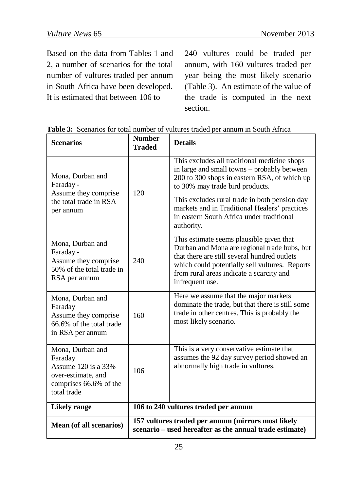Based on the data from Tables 1 and 2, a number of scenarios for the total number of vultures traded per annum in South Africa have been developed. It is estimated that between 106 to

240 vultures could be traded per annum, with 160 vultures traded per year being the most likely scenario (Table 3). An estimate of the value of the trade is computed in the next section.

| <b>Scenarios</b>                                                                                                       | <b>Number</b><br><b>Traded</b>                                                                                | <b>Details</b>                                                                                                                                                                                                                                                                                                                              |
|------------------------------------------------------------------------------------------------------------------------|---------------------------------------------------------------------------------------------------------------|---------------------------------------------------------------------------------------------------------------------------------------------------------------------------------------------------------------------------------------------------------------------------------------------------------------------------------------------|
| Mona, Durban and<br>Faraday -<br>Assume they comprise<br>the total trade in RSA<br>per annum                           | 120                                                                                                           | This excludes all traditional medicine shops<br>in large and small towns - probably between<br>200 to 300 shops in eastern RSA, of which up<br>to 30% may trade bird products.<br>This excludes rural trade in both pension day<br>markets and in Traditional Healers' practices<br>in eastern South Africa under traditional<br>authority. |
| Mona, Durban and<br>Faraday -<br>Assume they comprise<br>50% of the total trade in<br>RSA per annum                    | 240                                                                                                           | This estimate seems plausible given that<br>Durban and Mona are regional trade hubs, but<br>that there are still several hundred outlets<br>which could potentially sell vultures. Reports<br>from rural areas indicate a scarcity and<br>infrequent use.                                                                                   |
| Mona, Durban and<br>Faraday<br>Assume they comprise<br>66.6% of the total trade<br>in RSA per annum                    | 160                                                                                                           | Here we assume that the major markets<br>dominate the trade, but that there is still some<br>trade in other centres. This is probably the<br>most likely scenario.                                                                                                                                                                          |
| Mona, Durban and<br>Faraday<br>Assume $120$ is a $33\%$<br>over-estimate, and<br>comprises 66.6% of the<br>total trade | 106                                                                                                           | This is a very conservative estimate that<br>assumes the 92 day survey period showed an<br>abnormally high trade in vultures.                                                                                                                                                                                                               |
| <b>Likely range</b>                                                                                                    | 106 to 240 vultures traded per annum                                                                          |                                                                                                                                                                                                                                                                                                                                             |
| Mean (of all scenarios)                                                                                                | 157 vultures traded per annum (mirrors most likely<br>scenario – used hereafter as the annual trade estimate) |                                                                                                                                                                                                                                                                                                                                             |

**Table 3:** Scenarios for total number of vultures traded per annum in South Africa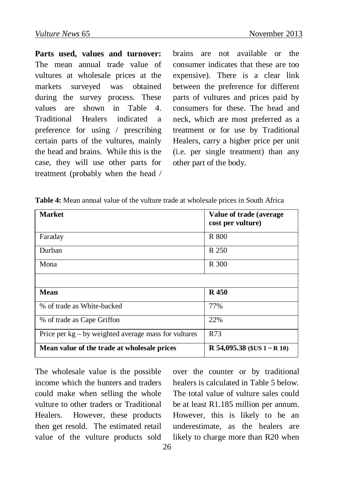**Parts used, values and turnover:**  The mean annual trade value of vultures at wholesale prices at the markets surveyed was obtained during the survey process. These values are shown in Table 4. Traditional Healers indicated a preference for using / prescribing certain parts of the vultures, mainly the head and brains. While this is the case, they will use other parts for treatment (probably when the head / brains are not available or the consumer indicates that these are too expensive). There is a clear link between the preference for different parts of vultures and prices paid by consumers for these. The head and neck, which are most preferred as a treatment or for use by Traditional Healers, carry a higher price per unit (i.e. per single treatment) than any other part of the body.

| <b>Market</b>                                          | Value of trade (average<br>cost per vulture) |
|--------------------------------------------------------|----------------------------------------------|
| Faraday                                                | R 800                                        |
| Durban                                                 | R 250                                        |
| Mona                                                   | R 300                                        |
|                                                        |                                              |
| Mean                                                   | <b>R</b> 450                                 |
| % of trade as White-backed                             | 77%                                          |
| % of trade as Cape Griffon                             | 22%                                          |
| Price per $kg - by$ weighted average mass for vultures | R73                                          |
| Mean value of the trade at wholesale prices            | R 54,095.38 (\$US 1 ~ R 10)                  |

**Table 4:** Mean annual value of the vulture trade at wholesale prices in South Africa

The wholesale value is the possible income which the hunters and traders could make when selling the whole vulture to other traders or Traditional Healers. However, these products then get resold. The estimated retail value of the vulture products sold over the counter or by traditional healers is calculated in Table 5 below. The total value of vulture sales could be at least R1.185 million per annum. However, this is likely to be an underestimate, as the healers are likely to charge more than R20 when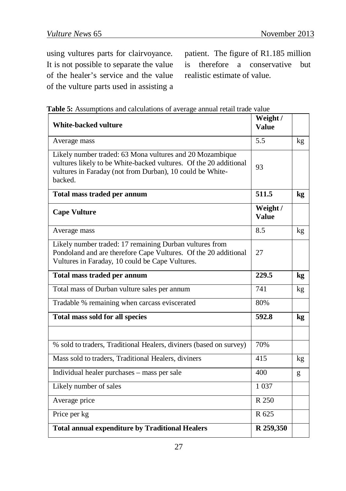using vultures parts for clairvoyance. It is not possible to separate the value of the healer's service and the value of the vulture parts used in assisting a patient. The figure of R1.185 million is therefore a conservative but realistic estimate of value.

| Table 5: Assumptions and calculations of average annual retail trade value |  |
|----------------------------------------------------------------------------|--|
|                                                                            |  |

| <b>White-backed vulture</b>                                                                                                                                                                           | Weight /<br><b>Value</b> |    |
|-------------------------------------------------------------------------------------------------------------------------------------------------------------------------------------------------------|--------------------------|----|
| Average mass                                                                                                                                                                                          | 5.5                      | kg |
| Likely number traded: 63 Mona vultures and 20 Mozambique<br>vultures likely to be White-backed vultures. Of the 20 additional<br>vultures in Faraday (not from Durban), 10 could be White-<br>backed. | 93                       |    |
| Total mass traded per annum                                                                                                                                                                           | 511.5                    | kg |
| <b>Cape Vulture</b>                                                                                                                                                                                   | Weight /<br><b>Value</b> |    |
| Average mass                                                                                                                                                                                          | 8.5                      | kg |
| Likely number traded: 17 remaining Durban vultures from<br>Pondoland and are therefore Cape Vultures. Of the 20 additional<br>Vultures in Faraday, 10 could be Cape Vultures.                         | 27                       |    |
| Total mass traded per annum                                                                                                                                                                           | 229.5                    | kg |
| Total mass of Durban vulture sales per annum                                                                                                                                                          | 741                      | kg |
| Tradable % remaining when carcass eviscerated                                                                                                                                                         | 80%                      |    |
| Total mass sold for all species                                                                                                                                                                       | 592.8                    | kg |
|                                                                                                                                                                                                       |                          |    |
| % sold to traders, Traditional Healers, diviners (based on survey)                                                                                                                                    | 70%                      |    |
| Mass sold to traders, Traditional Healers, diviners                                                                                                                                                   | 415                      | kg |
| Individual healer purchases - mass per sale                                                                                                                                                           | 400                      | g  |
| Likely number of sales                                                                                                                                                                                | 1 0 3 7                  |    |
| Average price                                                                                                                                                                                         | R 250                    |    |
| Price per kg                                                                                                                                                                                          | R 625                    |    |
| <b>Total annual expenditure by Traditional Healers</b>                                                                                                                                                | R 259,350                |    |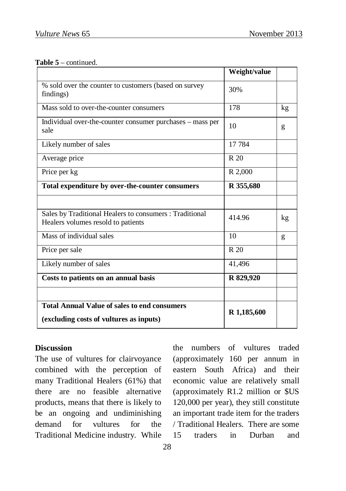#### **Table 5** – continued.

|                                                                                               | Weight/value |              |
|-----------------------------------------------------------------------------------------------|--------------|--------------|
| % sold over the counter to customers (based on survey<br>findings)                            | 30%          |              |
| Mass sold to over-the-counter consumers                                                       | 178          | kg           |
| Individual over-the-counter consumer purchases – mass per<br>sale                             | 10           | g            |
| Likely number of sales                                                                        | 17 784       |              |
| Average price                                                                                 | R 20         |              |
| Price per kg                                                                                  | R 2,000      |              |
| Total expenditure by over-the-counter consumers                                               | R 355,680    |              |
|                                                                                               |              |              |
| Sales by Traditional Healers to consumers : Traditional<br>Healers volumes resold to patients | 414.96       | kg           |
| Mass of individual sales                                                                      | 10           | $\mathbf{g}$ |
| Price per sale                                                                                | R 20         |              |
| Likely number of sales                                                                        | 41,496       |              |
| Costs to patients on an annual basis                                                          | R 829,920    |              |
|                                                                                               |              |              |
| <b>Total Annual Value of sales to end consumers</b>                                           | R 1,185,600  |              |
| (excluding costs of vultures as inputs)                                                       |              |              |

## **Discussion**

The use of vultures for clairvoyance combined with the perception of many Traditional Healers (61%) that there are no feasible alternative products, means that there is likely to be an ongoing and undiminishing demand for vultures for the Traditional Medicine industry. While

the numbers of vultures traded (approximately 160 per annum in eastern South Africa) and their economic value are relatively small (approximately R1.2 million or \$US 120,000 per year), they still constitute an important trade item for the traders / Traditional Healers. There are some 15 traders in Durban and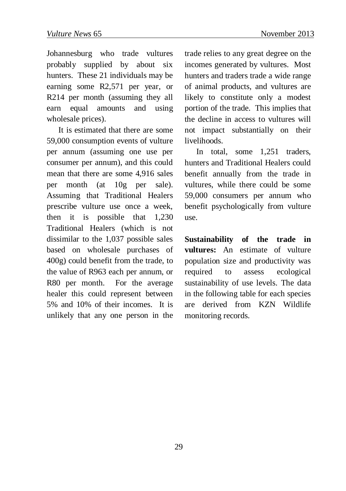Johannesburg who trade vultures probably supplied by about six hunters. These 21 individuals may be earning some R2,571 per year, or R214 per month (assuming they all earn equal amounts and using wholesale prices).

It is estimated that there are some 59,000 consumption events of vulture per annum (assuming one use per consumer per annum), and this could mean that there are some 4,916 sales per month (at 10g per sale). Assuming that Traditional Healers prescribe vulture use once a week, then it is possible that 1,230 Traditional Healers (which is not dissimilar to the 1,037 possible sales based on wholesale purchases of 400g) could benefit from the trade, to the value of R963 each per annum, or R80 per month. For the average healer this could represent between 5% and 10% of their incomes. It is unlikely that any one person in the trade relies to any great degree on the incomes generated by vultures. Most hunters and traders trade a wide range of animal products, and vultures are likely to constitute only a modest portion of the trade. This implies that the decline in access to vultures will not impact substantially on their livelihoods.

In total, some 1,251 traders, hunters and Traditional Healers could benefit annually from the trade in vultures, while there could be some 59,000 consumers per annum who benefit psychologically from vulture use.

**Sustainability of the trade in vultures:** An estimate of vulture population size and productivity was required to assess ecological sustainability of use levels. The data in the following table for each species are derived from KZN Wildlife monitoring records.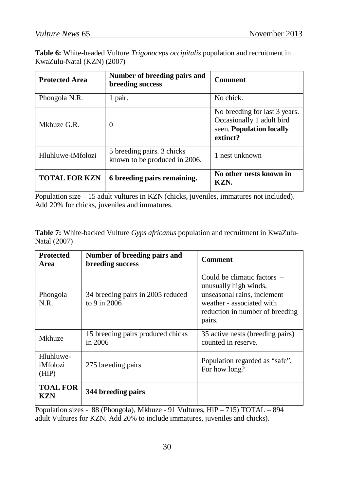**Table 6:** White-headed Vulture *Trigonoceps occipitalis* population and recruitment in KwaZulu-Natal (KZN) (2007)

| <b>Protected Area</b> | Number of breeding pairs and<br>breeding success            | <b>Comment</b>                                                                                     |
|-----------------------|-------------------------------------------------------------|----------------------------------------------------------------------------------------------------|
| Phongola N.R.         | 1 pair.                                                     | No chick.                                                                                          |
| Mkhuze G.R.           | $\Omega$                                                    | No breeding for last 3 years.<br>Occasionally 1 adult bird<br>seen. Population locally<br>extinct? |
| Hluhluwe-iMfolozi     | 5 breeding pairs. 3 chicks<br>known to be produced in 2006. | 1 nest unknown                                                                                     |
| <b>TOTAL FOR KZN</b>  | 6 breeding pairs remaining.                                 | No other nests known in<br>KZN.                                                                    |

Population size – 15 adult vultures in KZN (chicks, juveniles, immatures not included). Add 20% for chicks, juveniles and immatures.

| <b>Table 7:</b> White-backed Vulture <i>Gyps africanus</i> population and recruitment in KwaZulu- |  |
|---------------------------------------------------------------------------------------------------|--|
| Natal (2007)                                                                                      |  |

| <b>Protected</b><br>Area       | Number of breeding pairs and<br>breeding success  | <b>Comment</b>                                                                                                                                                  |
|--------------------------------|---------------------------------------------------|-----------------------------------------------------------------------------------------------------------------------------------------------------------------|
| Phongola<br>N.R.               | 34 breeding pairs in 2005 reduced<br>to 9 in 2006 | Could be climatic factors $-$<br>unusually high winds,<br>unseasonal rains, inclement<br>weather - associated with<br>reduction in number of breeding<br>pairs. |
| Mkhuze                         | 15 breeding pairs produced chicks<br>in $2006$    | 35 active nests (breeding pairs)<br>counted in reserve.                                                                                                         |
| Hluhluwe-<br>iMfolozi<br>(HiP) | 275 breeding pairs                                | Population regarded as "safe".<br>For how long?                                                                                                                 |
| <b>TOAL FOR</b><br>KZN         | 344 breeding pairs                                |                                                                                                                                                                 |

Population sizes - 88 (Phongola), Mkhuze - 91 Vultures, HiP – 715) TOTAL – 894 adult Vultures for KZN. Add 20% to include immatures, juveniles and chicks).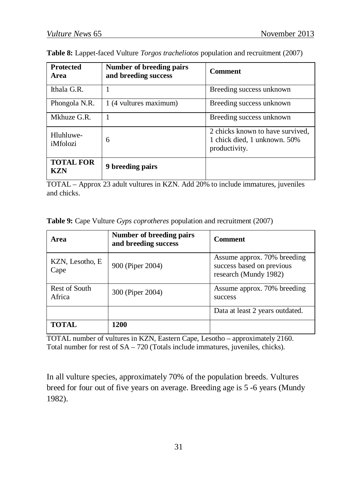| <b>Protected</b><br>Area       | Number of breeding pairs<br>and breeding success | <b>Comment</b>                                                                    |
|--------------------------------|--------------------------------------------------|-----------------------------------------------------------------------------------|
| Ithala G.R.                    |                                                  | Breeding success unknown                                                          |
| Phongola N.R.                  | 1 (4 vultures maximum)                           | Breeding success unknown                                                          |
| Mkhuze G.R.                    |                                                  | Breeding success unknown                                                          |
| Hluhluwe-<br>iMfolozi          | 6                                                | 2 chicks known to have survived,<br>1 chick died, 1 unknown. 50%<br>productivity. |
| <b>TOTAL FOR</b><br><b>KZN</b> | 9 breeding pairs                                 |                                                                                   |

**Table 8:** Lappet-faced Vulture *Torgos tracheliotos* population and recruitment (2007)

TOTAL – Approx 23 adult vultures in KZN. Add 20% to include immatures, juveniles and chicks.

|  |  |  |  | Table 9: Cape Vulture Gyps coprotheres population and recruitment (2007) |  |  |  |  |
|--|--|--|--|--------------------------------------------------------------------------|--|--|--|--|
|--|--|--|--|--------------------------------------------------------------------------|--|--|--|--|

| Area                    | Number of breeding pairs<br>and breeding success | Comment                                                                           |  |  |
|-------------------------|--------------------------------------------------|-----------------------------------------------------------------------------------|--|--|
| KZN, Lesotho, E<br>Cape | 900 (Piper 2004)                                 | Assume approx. 70% breeding<br>success based on previous<br>research (Mundy 1982) |  |  |
| Rest of South<br>Africa | 300 (Piper 2004)                                 | Assume approx. 70% breeding<br>success                                            |  |  |
|                         |                                                  | Data at least 2 years outdated.                                                   |  |  |
| <b>TOTAL</b>            | 1200                                             |                                                                                   |  |  |

TOTAL number of vultures in KZN, Eastern Cape, Lesotho – approximately 2160. Total number for rest of SA – 720 (Totals include immatures, juveniles, chicks).

In all vulture species, approximately 70% of the population breeds. Vultures breed for four out of five years on average. Breeding age is 5 -6 years (Mundy 1982).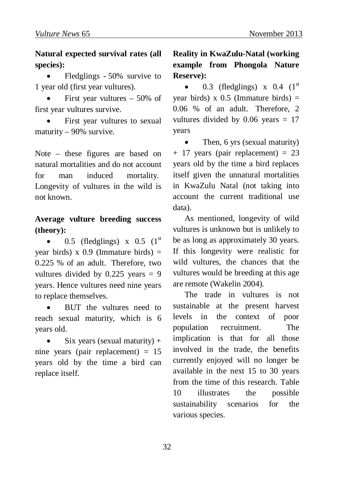**Natural expected survival rates (all species):**

• Fledglings - 50% survive to 1 year old (first year vultures).

First year vultures  $-50\%$  of first year vultures survive.

First year vultures to sexual maturity – 90% survive.

Note – these figures are based on natural mortalities and do not account for man induced mortality. Longevity of vultures in the wild is not known.

### **Average vulture breeding success (theory):**

• 0.5 (fledglings) x 0.5  $(1<sup>st</sup>$ year birds) x  $0.9$  (Immature birds) = 0.225 % of an adult. Therefore, two vultures divided by  $0.225$  years = 9 years. Hence vultures need nine years to replace themselves.

• BUT the vultures need to reach sexual maturity, which is 6 years old.

• Six years (sexual maturity) + nine years (pair replacement) = 15 years old by the time a bird can replace itself.

**Reality in KwaZulu-Natal (working example from Phongola Nature Reserve):**

• 0.3 (fledglings) x 0.4  $(1<sup>st</sup>$ year birds) x  $0.5$  (Immature birds) = 0.06 % of an adult. Therefore, 2 vultures divided by  $0.06$  years = 17 years

• Then, 6 yrs (sexual maturity) + 17 years (pair replacement) = 23 years old by the time a bird replaces itself given the unnatural mortalities in KwaZulu Natal (not taking into account the current traditional use data).

As mentioned, longevity of wild vultures is unknown but is unlikely to be as long as approximately 30 years. If this longevity were realistic for wild vultures, the chances that the vultures would be breeding at this age are remote (Wakelin 2004).

The trade in vultures is not sustainable at the present harvest levels in the context of poor population recruitment. The implication is that for all those involved in the trade, the benefits currently enjoyed will no longer be available in the next 15 to 30 years from the time of this research. Table 10 illustrates the possible sustainability scenarios for the various species.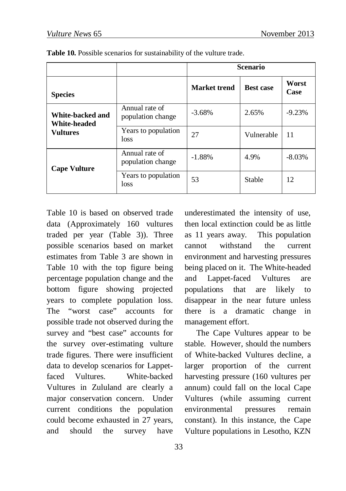|                                  |                                     | <b>Scenario</b> |                  |               |  |
|----------------------------------|-------------------------------------|-----------------|------------------|---------------|--|
| <b>Species</b>                   |                                     | Market trend    | <b>Best case</b> | Worst<br>Case |  |
| White-backed and<br>White-headed | Annual rate of<br>population change | $-3.68%$        | 2.65%            | $-9.23%$      |  |
| <b>Vultures</b>                  | Years to population<br><b>loss</b>  | 27              | Vulnerable       | 11            |  |
| <b>Cape Vulture</b>              | Annual rate of<br>population change | $-1.88%$        | 4.9%             | $-8.03%$      |  |
|                                  | Years to population<br>loss         | 53              | <b>Stable</b>    | 12            |  |

**Table 10.** Possible scenarios for sustainability of the vulture trade.

Table 10 is based on observed trade data (Approximately 160 vultures traded per year (Table 3)). Three possible scenarios based on market estimates from Table 3 are shown in Table 10 with the top figure being percentage population change and the bottom figure showing projected years to complete population loss. The "worst case" accounts for possible trade not observed during the survey and "best case" accounts for the survey over-estimating vulture trade figures. There were insufficient data to develop scenarios for Lappetfaced Vultures. White-backed Vultures in Zululand are clearly a major conservation concern. Under current conditions the population could become exhausted in 27 years, and should the survey have

underestimated the intensity of use, then local extinction could be as little as 11 years away. This population cannot withstand the current environment and harvesting pressures being placed on it. The White-headed and Lappet-faced Vultures are populations that are likely to disappear in the near future unless there is a dramatic change in management effort.

The Cape Vultures appear to be stable. However, should the numbers of White-backed Vultures decline, a larger proportion of the current harvesting pressure (160 vultures per annum) could fall on the local Cape Vultures (while assuming current environmental pressures remain constant). In this instance, the Cape Vulture populations in Lesotho, KZN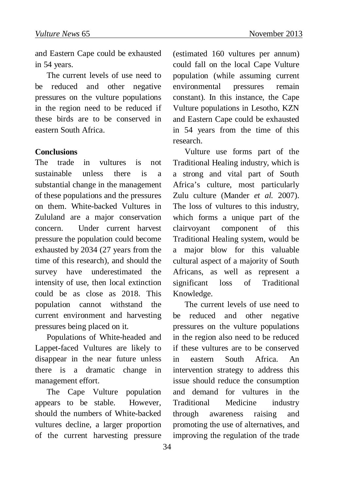and Eastern Cape could be exhausted in 54 years.

The current levels of use need to be reduced and other negative pressures on the vulture populations in the region need to be reduced if these birds are to be conserved in eastern South Africa.

### **Conclusions**

The trade in vultures is not sustainable unless there is a substantial change in the management of these populations and the pressures on them. White-backed Vultures in Zululand are a major conservation concern. Under current harvest pressure the population could become exhausted by 2034 (27 years from the time of this research), and should the survey have underestimated the intensity of use, then local extinction could be as close as 2018. This population cannot withstand the current environment and harvesting pressures being placed on it.

Populations of White-headed and Lappet-faced Vultures are likely to disappear in the near future unless there is a dramatic change in management effort.

The Cape Vulture population appears to be stable. However, should the numbers of White-backed vultures decline, a larger proportion of the current harvesting pressure

(estimated 160 vultures per annum) could fall on the local Cape Vulture population (while assuming current environmental pressures remain constant). In this instance, the Cape Vulture populations in Lesotho, KZN and Eastern Cape could be exhausted in 54 years from the time of this research.

Vulture use forms part of the Traditional Healing industry, which is a strong and vital part of South Africa's culture, most particularly Zulu culture (Mander *et al.* 2007). The loss of vultures to this industry, which forms a unique part of the clairvoyant component of this Traditional Healing system, would be a major blow for this valuable cultural aspect of a majority of South Africans, as well as represent a significant loss of Traditional Knowledge.

The current levels of use need to be reduced and other negative pressures on the vulture populations in the region also need to be reduced if these vultures are to be conserved in eastern South Africa. An intervention strategy to address this issue should reduce the consumption and demand for vultures in the Traditional Medicine industry through awareness raising and promoting the use of alternatives, and improving the regulation of the trade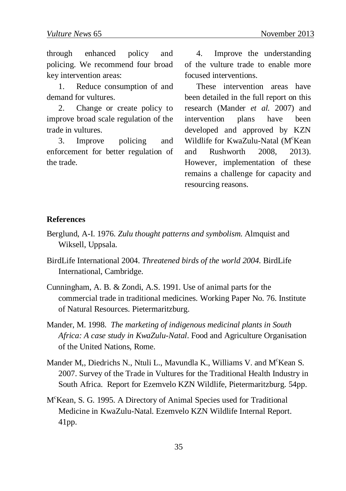through enhanced policy and policing. We recommend four broad key intervention areas:

1. Reduce consumption of and demand for vultures.

2. Change or create policy to improve broad scale regulation of the trade in vultures.

3. Improve policing and enforcement for better regulation of the trade.

4. Improve the understanding of the vulture trade to enable more focused interventions.

These intervention areas have been detailed in the full report on this research (Mander *et al.* 2007) and intervention plans have been developed and approved by KZN Wildlife for KwaZulu-Natal (M°Kean and Rushworth 2008, 2013). However, implementation of these remains a challenge for capacity and resourcing reasons.

#### **References**

- Berglund, A-I. 1976. *Zulu thought patterns and symbolism*. Almquist and Wiksell, Uppsala.
- BirdLife International 2004. *Threatened birds of the world 2004.* BirdLife International, Cambridge.
- Cunningham, A. B. & Zondi, A.S. 1991. Use of animal parts for the commercial trade in traditional medicines. Working Paper No. 76. Institute of Natural Resources. Pietermaritzburg.
- Mander, M. 1998. *The marketing of indigenous medicinal plants in South Africa: A case study in KwaZulu-Natal*. Food and Agriculture Organisation of the United Nations, Rome.
- Mander M,, Diedrichs N., Ntuli L., Mavundla K., Williams V. and M<sup>c</sup>Kean S. 2007. Survey of the Trade in Vultures for the Traditional Health Industry in South Africa. Report for Ezemvelo KZN Wildlife, Pietermaritzburg. 54pp.
- Mc Kean, S. G. 1995. A Directory of Animal Species used for Traditional Medicine in KwaZulu-Natal. Ezemvelo KZN Wildlife Internal Report. 41pp.